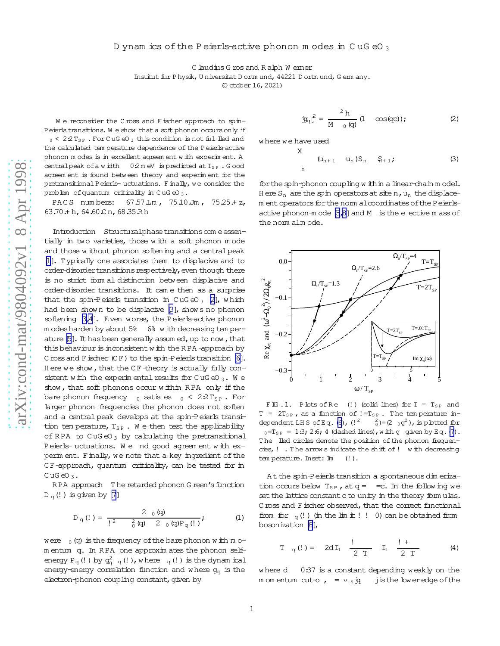## <span id="page-0-0"></span>D ynam ics of the P eierls-active phonon m odes in CuGeO<sub>3</sub>

C laudius G ros and R alph W emer

Institut fur Physik, Universitat Dortmund, 44221 Dortmund, Germany.

(0 ctober 16, 2021)

We reconsider the C ross and F ischer approach to spin-Peierls transitions. We show that a soft phonon occurs only if  $_0$  < 22T<sub>SP</sub>. For CuGeO<sub>3</sub> this condition is not fulled and the calculated tem perature dependence of the Peierls-active phonon modes is in excellent agreem ent with experiment. A central peak of a width  $0.2$  m eV is predicted at  $T_{SP}$ . Good agreem ent is found between theory and experiment for the pretransitional Peierls- uctuations. Finally, we consider the problem of quantum criticality in CuGeO<sub>3</sub>.

67.57 Lm, 75.10 Jm, 75.25 + z, PACS numbers:  $63.70 + h$ ,  $64.60Cn$ ,  $68.35Rh$ 

Introduction Structuralphase transitions com e essentially in two varieties, those with a soft phonon mode and those without phonon softening and a central peak [1]. Typically one associates them to displacive and to order-disorder transitions respectively, even though there is no strict form al distinction between displacive and order-disorder transitions. It came then as a surprise that the spin-Peierls transition in CuGeO<sub>3</sub> [2], which had been shown to be displacive [3], shows no phonon softening [3,4]. Even worse, the Peierls-active phonon m odes harden by about 5% 6% with decreasing temperature [5]. It has been generally assumed, up to now, that this behaviour is inconsistent with the RPA-approach by C ross and F ischer (CF) to the spin-P eierls transition [6]. Here we show, that the CF-theory is actually fully consistent with the experimental results for  $C \cup G \in O_3$ . We show, that soft phonons occur within RPA only if the bare phonon frequency  $\sigma_0$  satis es  $\sigma_0 < 2.2$  T<sub>SP</sub>. For larger phonon frequencies the phonon does not soften and a central peak develops at the spin-Peierls transition tem perature,  $T_{SP}$ . We then test the applicability of RPA to  $CuG$ eO<sub>3</sub> by calculating the pretransitional Peierls-uctuations. We nd good agreement with experment. Finally, we note that a key ingredient of the CF-approach, quantum criticality, can be tested for in  $CuG$  eO<sub>3</sub>.

RPA approach The retarded phonon G reen's function  $D_q$ (!) is given by [7]

$$
D_q\left(1\right) = \frac{2 \cdot o(q)}{1^2 \cdot \frac{2}{0}(q) \cdot 2 \cdot o(q)P_q\left(1\right)}
$$
 (1)

were  $_0$  (q) is the frequency of the bare phonon with mom entum q. In RPA one approximates the phonon selfenergy  $P_q$  (!) by  $q_{q-q}^2$  (!), where  $q$  (!) is the dynam ical energy-energy correlation function and where  $g_{q}$  is the electron-phonon coupling constant, given by

$$
\dot{\mathbf{B}}_{q}\hat{\mathbf{J}} = \frac{2 h}{M_0 (q)} (1 \cos(qc)); \tag{2}
$$

where we have used X

 $\overline{\mathbf{n}}$ 

$$
(\mathsf{u}_{n+1} \quad \mathsf{u}_n) \mathsf{S}_n \quad \mathsf{S}_{n+1} \tag{3}
$$

for the spin-phonon coupling within a linear-chain model. Here  $S_n$  are the spin operators at site n,  $u_n$  the displacem ent operators for the norm al coordinates of the P eierlsactive phonon-mode [5,8] and M is the e ective m ass of the nom alm ode.



FIG.1. Plots of Re (!) (solid lines) for  $T = T_{SP}$  and  $T = 2T_{SP}$ , as a function of  $!=T_{SP}$ . The temperature independent LHS of Eq.  $(6)$ ,  $(1^2)$  $^{2}_{0}$ )=(2  $_{0}$ g<sup>2</sup>), is plotted for  $_{0}$ =T<sub>SP</sub> = 1:3; 2:6; 4 (dashed lines), with g given by Eq. (7). The lied circles denote the position of the phonon frequencies, ! . The arrow s indicate the shift of ! with decreasing tem perature. Inset: Im  $(!)$ .

At the spin-Peierls transition a spontaneous dimerization occurs below  $T_{SP}$ , at  $q = -c$ . In the following we set the lattice constant c to unity in the theory formulas. C ross and F ischer observed, that the correct functional from for  $_q(!)$  (in the limit!! 0) can be obtained from bosonization [6],

$$
\Gamma_{q}(!) = 2d I_1 \frac{!}{2 T} I_1 \frac{!}{2 T}
$$
 (4)

 $0:37$  is a constant depending weakly on the where d m om entum cut-o,  $= v_s \dot{y}$ j is the low eredge of the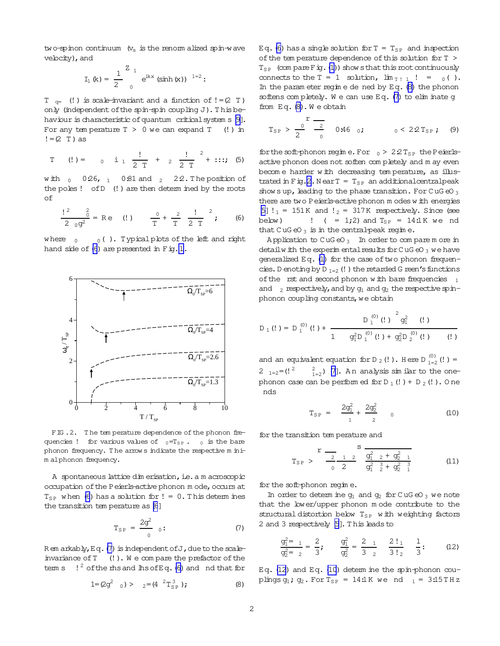<span id="page-1-0"></span>two-spinon continuum  $(v_s$  is the renorm alized spin-wave velocity), and

$$
I_1 (k) = \frac{1}{2} \int_{0}^{2kx} e^{ikx} (\sinh (x))^{1=2}
$$
:

 $T_{q=}$  (!) is scale-invariant and a function of != (2 T) only (independent of the spin-spin coupling J). This behaviour is characteristic of quantum critical system s [9]. For any temperature  $T > 0$  we can expand  $T$  (!) in  $!=$  (2 T) as

T (!) = 
$$
0 \quad \text{i} \quad \frac{!}{2 \text{ T}} + 2 \quad \frac{!}{2 \text{ T}}^2 + \dots
$$
; (5)

with  $_0$  0.26,  $_1$  0.81 and  $_2$  2.2. The position of the poles! of D (!) are then determ ined by the roots  $\circ$ f

$$
\frac{!^2}{2 \cdot 0} \frac{?}{9^2} = \text{Re} \quad (!) \qquad \frac{0}{T} + \frac{?}{T} \frac{!}{2 \cdot T} \frac{?}{7} \tag{6}
$$

where  $_0$  $_0$  (). Typical plots of the left and right hand side of (6) are presented in Fig. 1.



FIG.2. The tem perature dependence of the phonon frequencies ! for various values of  $_0=T_{SP}$ .  $_0$  is the bare phonon frequency. The arrows indicate the respective m inim alphonon frequency.

A spontaneous lattice dimerisation, i.e. a m acroscopic occupation of the Peierls-active phonon mode, occurs at  $T_{SP}$  when (6) has a solution for ! = 0. This determ ines the transition tem perature as [6]

$$
T_{SP} = \frac{2g^2}{0} \quad 0:
$$
 (7)

Rem arkably, Eq. (7) is independent of J, due to the scaleinvariance of  $T$  (!). We compare the prefactor of the tem s  $\frac{1}{2}$  of the ms and  $\ln \text{softEq.}$  (6) and nd that for

$$
1 = (2g^2 \t_0) > \t_2 = (4 \t_2^2 T_{SP}^3); \t(8)
$$

Eq. (6) has a single solution for  $T = T_{SP}$  and inspection of the tem perature dependence of this solution for T >  $T_{SP}$  (com pare F ig. (1)) show s that this root continuously connects to the T = 1 solution,  $\lim_{T \to 1}$  ! =  $_0($  ). In the parameter regime de ned by  $Eq. (8)$  the phonon softens completely. We can use Eq. (7) to eliminate q from Eq. (8). We obtain

$$
T_{SP} > \frac{0}{2} \frac{r}{0}
$$
 0.46 0; 0 < 22T\_{SP}; (9)

for the soft-phonon regime. For  $_0 > 2.2$  T<sub>SP</sub> the Peierlsactive phonon does not soften completely and may even become harder with decreasing temperature, as illustrated in Fig. 2. Near  $T = T_{SP}$  an additional central peak shows up, leading to the phase transition. For CuG  $\epsilon$ O<sub>3</sub> there are two Peierls-active phonon modes with energies [5]  $!_1$  = 151K and  $!_2$  = 317K respectively. Since (see !  $( = 1,2)$  and  $T_{SP} = 14.1$ K we nd below) that  $CuG \otimes 3$  is in the central-peak reqime.

Application to  $C uG eO_3$  In order to compare more in detail w ith the experim ental results for CuG eO  $_3$  we have generalized Eq. (1) for the case of two phonon frequencies. D enoting by D  $_{1=2}$  (!) the retarded G reen's functions of the rst and second phonon with bare frequencies  $_1$ and  $_2$  respectively, and by  $q_1$  and  $q_2$  the respective spinphonon coupling constants, we obtain

$$
D_1(!) = D_1^{(0)}(!) + \frac{D_1^{(0)}(!)}{1 - g_1^2 D_1^{(0)}(!) + g_2^2 D_2^{(0)}(!)} \qquad (1)
$$

and an equivalent equation for D<sub>2</sub>(!). Here D<sub>1=2</sub>(!) = 2  $1=2$  = (! <sup>2</sup>  $\frac{2}{1-z}$ ) [7]. An analysis similar to the onephonon case can be performed for  $D_1$  (!) +  $D_2$  (!). One nds

$$
\Gamma_{\rm SP} = \frac{2g_1^2}{1} + \frac{2g_2^2}{2} \qquad (10)
$$

for the transition tem perature and

$$
T_{SP} > \frac{r}{\frac{2}{0} \frac{1}{2}} \frac{1}{\frac{9_1^2}{9_1^2} \frac{2}{2} + \frac{9_2^2}{9_2^2} \frac{1}{1}}
$$
 (11)

for the soft-phonon regine.

In order to determ ine  $q_1$  and  $q_2$  for CuGeO<sub>3</sub> we note that the lower/upper phonon mode contribute to the structural distortion below  $T_{SP}$  with weighting factors 2 and 3 respectively [5]. This leads to

$$
\frac{g_1^2}{g_2^2 = 2} = \frac{2}{3}; \qquad \frac{g_1^2}{g_2^2} = \frac{2}{3} \frac{1}{2} = \frac{2!}{3!} \frac{1}{2}; \qquad (12)
$$

Eq. (12) and Eq. (10) determ ine the spin-phonon  $\text{cou}$ plings  $q_1$ ;  $q_2$ . For  $T_{SP} = 14.1$ K we nd  $_1 = 3.15$ THz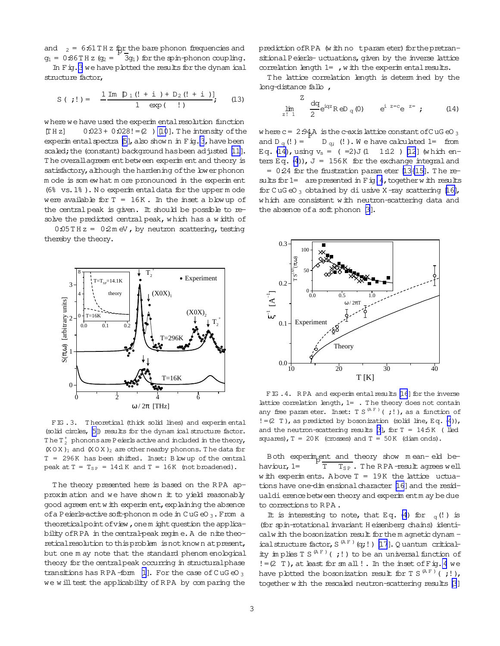<span id="page-2-0"></span>and  $2 = 6:61 \text{ T H}$  z for the bare phonon frequencies and  $g_1 = 0.86$  T H z ( $g_2 =$  $3g_1$ ) for the spin-phonon coupling. In Fig. 3 we have plotted the results for the dynam ical structure factor,

$$
S ( ;!) = \frac{1 \text{ Im } D_1 (! + i ) + D_2 (! + i )!}{1 \text{ exp } (!)};
$$
 (13)

w here we have used the experim entalresolution function  $[TH z]$  0:023+ 0:028! = (2) [\[10](#page-3-0)]. The intensity of the experim ental spectra  $[5]$ , also show n in Fig. 3, have been scaled; the (constant) background has been adjusted [\[11\]](#page-3-0). T he overallagreem entbetween experim entand theory is satisfactory, although the hardening of the lower phonon m ode is som ew hat m ore pronounced in the experim ent (6% vs.1% ). N o experim entaldata for the upper m ode were available for  $T = 16K$ . In the inset a blow up of the central peak is given. It should be possible to resolve the predicted centralpeak, w hich has a w idth of

 $0.05$ TH  $z = 0.2$ m eV, by neutron scattering, testing thereby the theory.



FIG .3. T heoretical (thick solid lines) and experim ental (solid circles, [\[5\]](#page-3-0)) results for the dynam ical structure factor. The T $_2^+$  phonons are P eierls active and included in the theory,  $(X O X)_1$  and  $(X O X)_2$  are other nearby phonons. The data for T = 296K has been shifted. Inset: B low up of the central peak at  $T = T_{SP} = 14:1K$  and  $T = 16K$  (not broadened).

The theory presented here is based on the RPA approxim ation and we have show n it to yield reasonably good agreem entw ith experim ent, explaining the absence of a Peierls-active soft-phonon m ode in C uG eO  $_3$ . From a theoreticalpoint of view, one m ight question the applicability of RPA in the central-peak regime. A de nite theoretical resolution to this problem is not know n at present, but one m ay note that the standard phenom enological theory for the centralpeak occurring in structuralphase transitions has RPA-form [\[1\]](#page-3-0). For the case of CuGeO  $_3$ we w ill test the applicability of RPA by comparing the

prediction of RPA (with no tparam eter) for the pretransitional Peierls- uctuations, given by the inverse lattice correlation length  $1=$ , w ith the experim ental results.

The lattice correlation length is determ ined by the long-distance fallo,

$$
\lim_{z \to 1} \frac{2}{2} e^{iqz} R \, e D_q(0) \qquad e^{i z = c} e^{-z} \qquad (14)
$$

where  $c$  = 2:94  $A$  is the c-axis lattice constant of C uG eO  $_3$ and D  $_{\alpha}$  (!) =  $D_{q}$ ; (!). We have calculated 1= from Eq. (14), using  $v_s = (-2)J(1 \t 1:12) [12]$  $v_s = (-2)J(1 \t 1:12) [12]$  $v_s = (-2)J(1 \t 1:12) [12]$  (which en-ters Eq. [\(4](#page-0-0))),  $J = 156K$  for the exchange integral and  $= 0.24$  for the frustration param eter [\[13{15\]](#page-3-0). The results for  $1=$  are presented in Fig. 4, together with results for CuG eO<sub>3</sub> obtained by diusive X-ray scattering [\[16\]](#page-3-0), w hich are consistent w ith neutron-scattering data and the absence ofa soft phonon [\[3\]](#page-3-0).



FIG. 4. RPA and experim ental results [\[16](#page-3-0)] for the inverse lattice correlation length,  $1=$  . The theory does not contain any free param eter. Inset: T S<sup>(AF)</sup>(;!), as a function of  $!=$  (2 T), as predicted by bosonization (solid line, Eq. [\(4](#page-0-0))), and the neutron-scattering results  $\beta$ ], for T = 14:5K (lled squares),  $T = 20K$  (crosses) and  $T = 50K$  (diam onds).

Both experiment and theory show mean-eld behaviour, 1=  $T$   $T_{SP}$ . The RPA-result agrees well w ith experiments. Above  $T = 19K$  the lattice uctua-tions have one-dim ensional character [\[16\]](#page-3-0) and the residualdierence between theory and experim entm ay be due to corrections to RPA.

It is interesting to note, that Eq. [\(4](#page-0-0)) for  $_q(!)$  is (for spin-rotational invariant H eisenberg chains) identicalw ith the bosonization result for the m agnetic dynam ical structure factor,  $S^{(A F )} (q;!)$  [\[17](#page-3-0)]. Q uantum criticality im plies T S  $^{(AF)}$  (;!) to be an universal function of  $!=$  (2 T), at least for sm all ! . In the inset of Fig. 4 we have plotted the bosonization result for T S<sup>(AF)</sup>(;!), together w ith the rescaled neutron-scattering results [\[3](#page-3-0)]